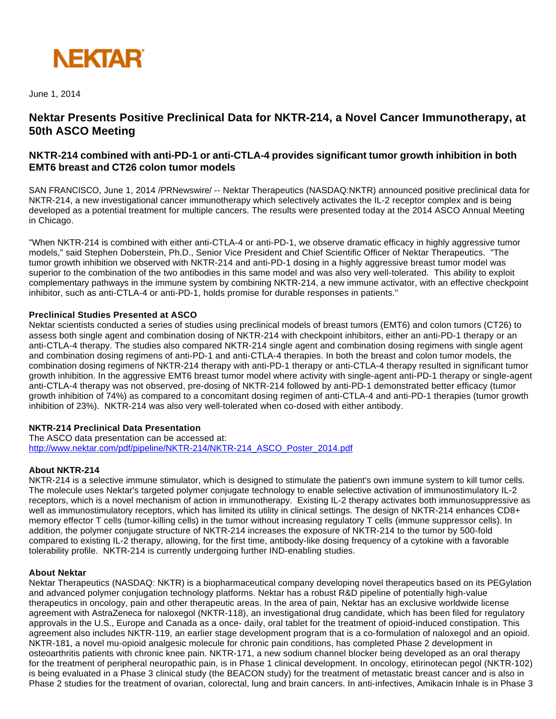

June 1, 2014

# **Nektar Presents Positive Preclinical Data for NKTR-214, a Novel Cancer Immunotherapy, at 50th ASCO Meeting**

## **NKTR-214 combined with anti-PD-1 or anti-CTLA-4 provides significant tumor growth inhibition in both EMT6 breast and CT26 colon tumor models**

SAN FRANCISCO, June 1, 2014 /PRNewswire/ -- Nektar Therapeutics (NASDAQ:NKTR) announced positive preclinical data for NKTR-214, a new investigational cancer immunotherapy which selectively activates the IL-2 receptor complex and is being developed as a potential treatment for multiple cancers. The results were presented today at the 2014 ASCO Annual Meeting in Chicago.

"When NKTR-214 is combined with either anti-CTLA-4 or anti-PD-1, we observe dramatic efficacy in highly aggressive tumor models," said Stephen Doberstein, Ph.D., Senior Vice President and Chief Scientific Officer of Nektar Therapeutics. "The tumor growth inhibition we observed with NKTR-214 and anti-PD-1 dosing in a highly aggressive breast tumor model was superior to the combination of the two antibodies in this same model and was also very well-tolerated. This ability to exploit complementary pathways in the immune system by combining NKTR-214, a new immune activator, with an effective checkpoint inhibitor, such as anti-CTLA-4 or anti-PD-1, holds promise for durable responses in patients."

## **Preclinical Studies Presented at ASCO**

Nektar scientists conducted a series of studies using preclinical models of breast tumors (EMT6) and colon tumors (CT26) to assess both single agent and combination dosing of NKTR-214 with checkpoint inhibitors, either an anti-PD-1 therapy or an anti-CTLA-4 therapy. The studies also compared NKTR-214 single agent and combination dosing regimens with single agent and combination dosing regimens of anti-PD-1 and anti-CTLA-4 therapies. In both the breast and colon tumor models, the combination dosing regimens of NKTR-214 therapy with anti-PD-1 therapy or anti-CTLA-4 therapy resulted in significant tumor growth inhibition. In the aggressive EMT6 breast tumor model where activity with single-agent anti-PD-1 therapy or single-agent anti-CTLA-4 therapy was not observed, pre-dosing of NKTR-214 followed by anti-PD-1 demonstrated better efficacy (tumor growth inhibition of 74%) as compared to a concomitant dosing regimen of anti-CTLA-4 and anti-PD-1 therapies (tumor growth inhibition of 23%). NKTR-214 was also very well-tolerated when co-dosed with either antibody.

## **NKTR-214 Preclinical Data Presentation**

The ASCO data presentation can be accessed at: [http://www.nektar.com/pdf/pipeline/NKTR-214/NKTR-214\\_ASCO\\_Poster\\_2014.pdf](http://www.nektar.com/pdf/pipeline/NKTR-214/NKTR-214_ASCO_Poster_2014.pdf)

### **About NKTR-214**

NKTR-214 is a selective immune stimulator, which is designed to stimulate the patient's own immune system to kill tumor cells. The molecule uses Nektar's targeted polymer conjugate technology to enable selective activation of immunostimulatory IL-2 receptors, which is a novel mechanism of action in immunotherapy. Existing IL-2 therapy activates both immunosuppressive as well as immunostimulatory receptors, which has limited its utility in clinical settings. The design of NKTR-214 enhances CD8+ memory effector T cells (tumor-killing cells) in the tumor without increasing regulatory T cells (immune suppressor cells). In addition, the polymer conjugate structure of NKTR-214 increases the exposure of NKTR-214 to the tumor by 500-fold compared to existing IL-2 therapy, allowing, for the first time, antibody-like dosing frequency of a cytokine with a favorable tolerability profile. NKTR-214 is currently undergoing further IND-enabling studies.

### **About Nektar**

Nektar Therapeutics (NASDAQ: NKTR) is a biopharmaceutical company developing novel therapeutics based on its PEGylation and advanced polymer conjugation technology platforms. Nektar has a robust R&D pipeline of potentially high-value therapeutics in oncology, pain and other therapeutic areas. In the area of pain, Nektar has an exclusive worldwide license agreement with AstraZeneca for naloxegol (NKTR-118), an investigational drug candidate, which has been filed for regulatory approvals in the U.S., Europe and Canada as a once- daily, oral tablet for the treatment of opioid-induced constipation. This agreement also includes NKTR-119, an earlier stage development program that is a co-formulation of naloxegol and an opioid. NKTR-181, a novel mu-opioid analgesic molecule for chronic pain conditions, has completed Phase 2 development in osteoarthritis patients with chronic knee pain. NKTR-171, a new sodium channel blocker being developed as an oral therapy for the treatment of peripheral neuropathic pain, is in Phase 1 clinical development. In oncology, etirinotecan pegol (NKTR-102) is being evaluated in a Phase 3 clinical study (the BEACON study) for the treatment of metastatic breast cancer and is also in Phase 2 studies for the treatment of ovarian, colorectal, lung and brain cancers. In anti-infectives, Amikacin Inhale is in Phase 3